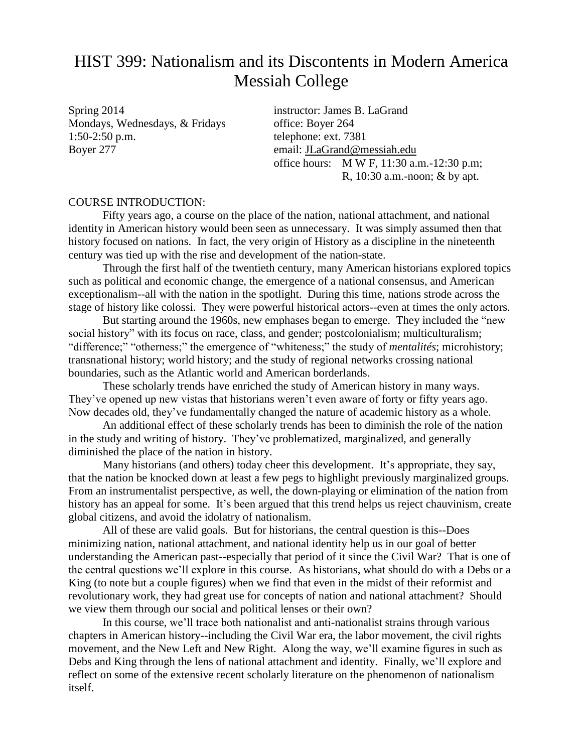# HIST 399: Nationalism and its Discontents in Modern America Messiah College

Spring 2014 instructor: James B. LaGrand Mondays, Wednesdays, & Fridays office: Boyer 264 1:50-2:50 p.m. telephone: ext. 7381 Boyer 277 email: [JLaGrand@messiah.edu](mailto:JLaGrand@messiah.edu)

office hours: M W F, 11:30 a.m.-12:30 p.m; R, 10:30 a.m.-noon; & by apt.

### COURSE INTRODUCTION:

Fifty years ago, a course on the place of the nation, national attachment, and national identity in American history would been seen as unnecessary. It was simply assumed then that history focused on nations. In fact, the very origin of History as a discipline in the nineteenth century was tied up with the rise and development of the nation-state.

Through the first half of the twentieth century, many American historians explored topics such as political and economic change, the emergence of a national consensus, and American exceptionalism--all with the nation in the spotlight. During this time, nations strode across the stage of history like colossi. They were powerful historical actors--even at times the only actors.

But starting around the 1960s, new emphases began to emerge. They included the "new social history" with its focus on race, class, and gender; postcolonialism; multiculturalism; "difference;" "otherness;" the emergence of "whiteness;" the study of *mentalités*; microhistory; transnational history; world history; and the study of regional networks crossing national boundaries, such as the Atlantic world and American borderlands.

These scholarly trends have enriched the study of American history in many ways. They've opened up new vistas that historians weren't even aware of forty or fifty years ago. Now decades old, they've fundamentally changed the nature of academic history as a whole.

An additional effect of these scholarly trends has been to diminish the role of the nation in the study and writing of history. They've problematized, marginalized, and generally diminished the place of the nation in history.

Many historians (and others) today cheer this development. It's appropriate, they say, that the nation be knocked down at least a few pegs to highlight previously marginalized groups. From an instrumentalist perspective, as well, the down-playing or elimination of the nation from history has an appeal for some. It's been argued that this trend helps us reject chauvinism, create global citizens, and avoid the idolatry of nationalism.

All of these are valid goals. But for historians, the central question is this--Does minimizing nation, national attachment, and national identity help us in our goal of better understanding the American past--especially that period of it since the Civil War? That is one of the central questions we'll explore in this course. As historians, what should do with a Debs or a King (to note but a couple figures) when we find that even in the midst of their reformist and revolutionary work, they had great use for concepts of nation and national attachment? Should we view them through our social and political lenses or their own?

In this course, we'll trace both nationalist and anti-nationalist strains through various chapters in American history--including the Civil War era, the labor movement, the civil rights movement, and the New Left and New Right. Along the way, we'll examine figures in such as Debs and King through the lens of national attachment and identity. Finally, we'll explore and reflect on some of the extensive recent scholarly literature on the phenomenon of nationalism itself.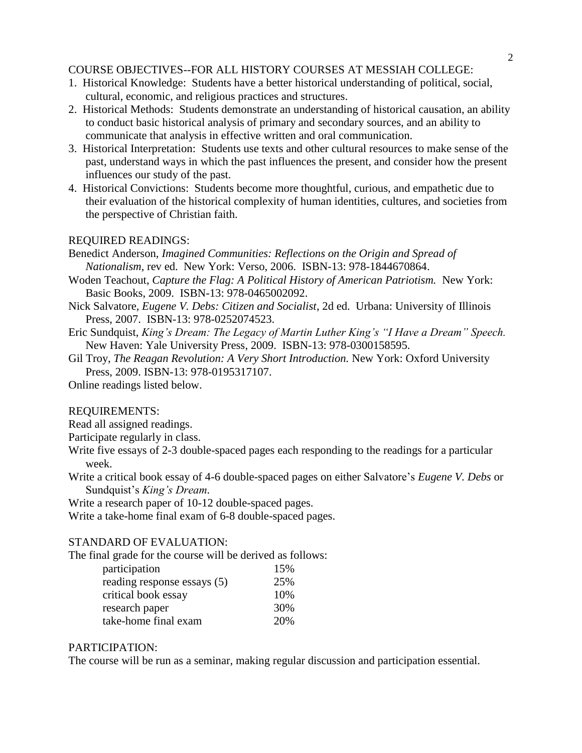## COURSE OBJECTIVES--FOR ALL HISTORY COURSES AT MESSIAH COLLEGE:

- 1. Historical Knowledge: Students have a better historical understanding of political, social, cultural, economic, and religious practices and structures.
- 2. Historical Methods: Students demonstrate an understanding of historical causation, an ability to conduct basic historical analysis of primary and secondary sources, and an ability to communicate that analysis in effective written and oral communication.
- 3. Historical Interpretation: Students use texts and other cultural resources to make sense of the past, understand ways in which the past influences the present, and consider how the present influences our study of the past.
- 4. Historical Convictions: Students become more thoughtful, curious, and empathetic due to their evaluation of the historical complexity of human identities, cultures, and societies from the perspective of Christian faith.

### REQUIRED READINGS:

Benedict Anderson, *Imagined Communities: Reflections on the Origin and Spread of Nationalism*, rev ed. New York: Verso, 2006. ISBN-13: 978-1844670864.

- Woden Teachout, *Capture the Flag: A Political History of American Patriotism.* New York: Basic Books, 2009. ISBN-13: 978-0465002092.
- Nick Salvatore, *Eugene V. Debs: Citizen and Socialist*, 2d ed. Urbana: University of Illinois Press, 2007. ISBN-13: 978-0252074523.
- Eric Sundquist, *King's Dream: The Legacy of Martin Luther King's "I Have a Dream" Speech.* New Haven: Yale University Press, 2009. ISBN-13: 978-0300158595.

Gil Troy, *The Reagan Revolution: A Very Short Introduction.* New York: Oxford University Press, 2009. ISBN-13: 978-0195317107.

Online readings listed below.

### REQUIREMENTS:

Read all assigned readings.

Participate regularly in class.

- Write five essays of 2-3 double-spaced pages each responding to the readings for a particular week.
- Write a critical book essay of 4-6 double-spaced pages on either Salvatore's *Eugene V. Debs* or Sundquist's *King's Dream.*

Write a research paper of 10-12 double-spaced pages.

Write a take-home final exam of 6-8 double-spaced pages.

### STANDARD OF EVALUATION:

The final grade for the course will be derived as follows:

| participation               | 15% |
|-----------------------------|-----|
| reading response essays (5) | 25% |
| critical book essay         | 10% |
| research paper              | 30% |
| take-home final exam        | 20% |

### PARTICIPATION:

The course will be run as a seminar, making regular discussion and participation essential.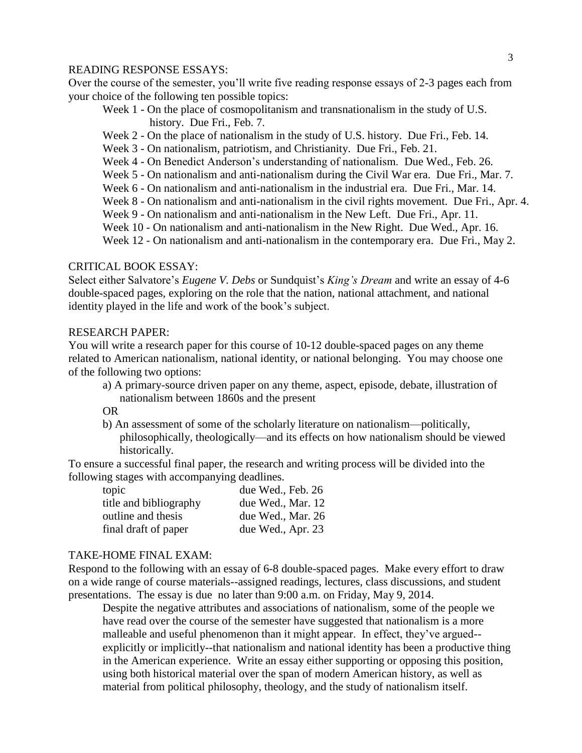### READING RESPONSE ESSAYS:

Over the course of the semester, you'll write five reading response essays of 2-3 pages each from your choice of the following ten possible topics:

- Week 1 On the place of cosmopolitanism and transnationalism in the study of U.S. history. Due Fri., Feb. 7.
- Week 2 On the place of nationalism in the study of U.S. history. Due Fri., Feb. 14.
- Week 3 On nationalism, patriotism, and Christianity. Due Fri., Feb. 21.
- Week 4 On Benedict Anderson's understanding of nationalism. Due Wed., Feb. 26.
- Week 5 On nationalism and anti-nationalism during the Civil War era. Due Fri., Mar. 7.
- Week 6 On nationalism and anti-nationalism in the industrial era. Due Fri., Mar. 14.
- Week 8 On nationalism and anti-nationalism in the civil rights movement. Due Fri., Apr. 4.
- Week 9 On nationalism and anti-nationalism in the New Left. Due Fri., Apr. 11.
- Week 10 On nationalism and anti-nationalism in the New Right. Due Wed., Apr. 16.

Week 12 - On nationalism and anti-nationalism in the contemporary era. Due Fri., May 2.

### CRITICAL BOOK ESSAY:

Select either Salvatore's *Eugene V. Debs* or Sundquist's *King's Dream* and write an essay of 4-6 double-spaced pages, exploring on the role that the nation, national attachment, and national identity played in the life and work of the book's subject.

### RESEARCH PAPER:

You will write a research paper for this course of 10-12 double-spaced pages on any theme related to American nationalism, national identity, or national belonging. You may choose one of the following two options:

a) A primary-source driven paper on any theme, aspect, episode, debate, illustration of nationalism between 1860s and the present

#### OR

b) An assessment of some of the scholarly literature on nationalism—politically, philosophically, theologically—and its effects on how nationalism should be viewed historically.

To ensure a successful final paper, the research and writing process will be divided into the following stages with accompanying deadlines.

| topic                  | due Wed., Feb. 26 |
|------------------------|-------------------|
| title and bibliography | due Wed., Mar. 12 |
| outline and thesis     | due Wed., Mar. 26 |
| final draft of paper   | due Wed., Apr. 23 |

### TAKE-HOME FINAL EXAM:

Respond to the following with an essay of 6-8 double-spaced pages. Make every effort to draw on a wide range of course materials--assigned readings, lectures, class discussions, and student presentations. The essay is due no later than 9:00 a.m. on Friday, May 9, 2014.

Despite the negative attributes and associations of nationalism, some of the people we have read over the course of the semester have suggested that nationalism is a more malleable and useful phenomenon than it might appear. In effect, they've argued- explicitly or implicitly--that nationalism and national identity has been a productive thing in the American experience. Write an essay either supporting or opposing this position, using both historical material over the span of modern American history, as well as material from political philosophy, theology, and the study of nationalism itself.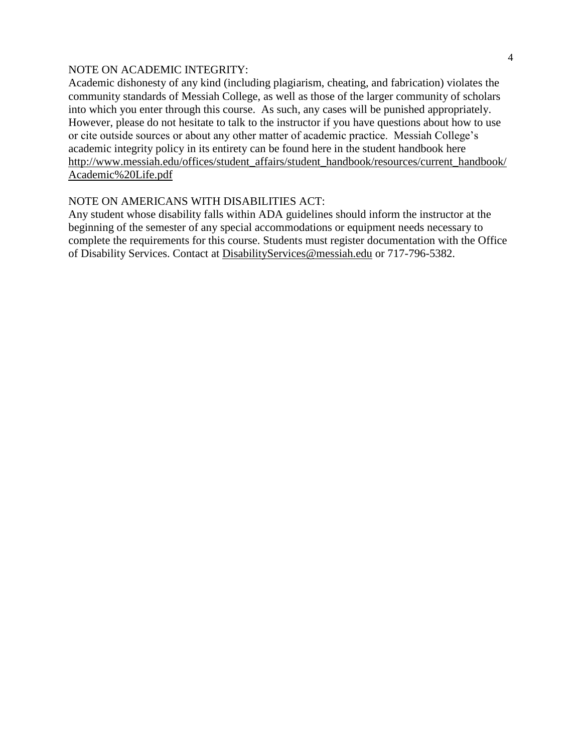### NOTE ON ACADEMIC INTEGRITY:

Academic dishonesty of any kind (including plagiarism, cheating, and fabrication) violates the community standards of Messiah College, as well as those of the larger community of scholars into which you enter through this course. As such, any cases will be punished appropriately. However, please do not hesitate to talk to the instructor if you have questions about how to use or cite outside sources or about any other matter of academic practice. Messiah College's academic integrity policy in its entirety can be found here in the student handbook here [http://www.messiah.edu/offices/student\\_affairs/student\\_handbook/resources/current\\_handbook/](http://www.messiah.edu/offices/student_affairs/student_handbook/resources/current_handbook/Academic%20Life.pdf) [Academic%20Life.pdf](http://www.messiah.edu/offices/student_affairs/student_handbook/resources/current_handbook/Academic%20Life.pdf)

## NOTE ON AMERICANS WITH DISABILITIES ACT:

Any student whose disability falls within ADA guidelines should inform the instructor at the beginning of the semester of any special accommodations or equipment needs necessary to complete the requirements for this course. Students must register documentation with the Office of Disability Services. Contact at [DisabilityServices@messiah.edu](mailto:DisabilityServices@messiah.edu) or 717-796-5382.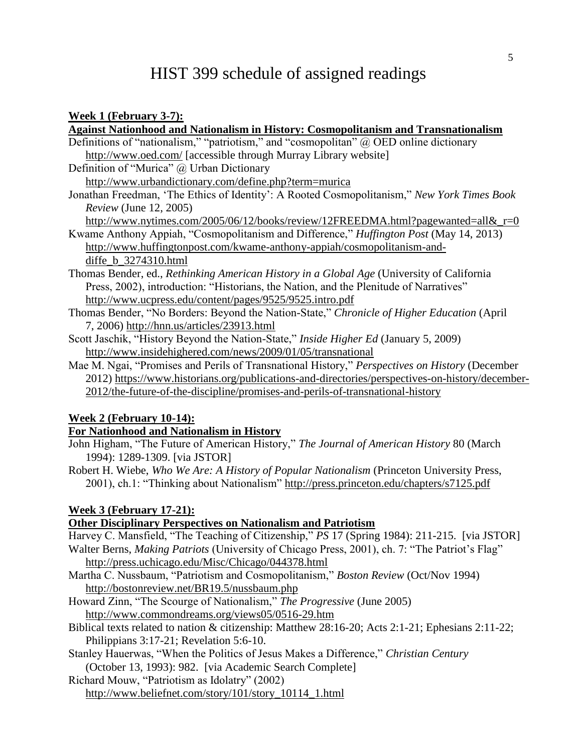# HIST 399 schedule of assigned readings

### **Week 1 (February 3-7):**

| <b>Against Nationhood and Nationalism in History: Cosmopolitanism and Transnationalism</b>       |
|--------------------------------------------------------------------------------------------------|
| Definitions of "nationalism," "patriotism," and "cosmopolitan" $\omega$ OED online dictionary    |
| http://www.oed.com/ [accessible through Murray Library website]                                  |
| Definition of "Murica" @ Urban Dictionary                                                        |
| http://www.urbandictionary.com/define.php?term=murica                                            |
| Jonathan Freedman, 'The Ethics of Identity': A Rooted Cosmopolitanism," New York Times Book      |
| <i>Review</i> (June 12, 2005)                                                                    |
| http://www.nytimes.com/2005/06/12/books/review/12FREEDMA.html?pagewanted=all& $r=0$              |
| Kwame Anthony Appiah, "Cosmopolitanism and Difference," <i>Huffington Post</i> (May 14, 2013)    |
| http://www.huffingtonpost.com/kwame-anthony-appiah/cosmopolitanism-and-                          |
| diffe b 3274310.html                                                                             |
| Thomas Bender, ed., <i>Rethinking American History in a Global Age</i> (University of California |
| Press, 2002), introduction: "Historians, the Nation, and the Plenitude of Narratives"            |
| http://www.ucpress.edu/content/pages/9525/9525.intro.pdf                                         |
| Thomas Bender, "No Borders: Beyond the Nation-State," Chronicle of Higher Education (April       |
| 7, 2006) http://hnn.us/articles/23913.html                                                       |
| Scott Jaschik, "History Beyond the Nation-State," <i>Inside Higher Ed</i> (January 5, 2009)      |
| http://www.insidehighered.com/news/2009/01/05/transnational                                      |
| Mae M. Ngai, "Promises and Perils of Transnational History," Perspectives on History (December   |
| 2012) https://www.historians.org/publications-and-directories/perspectives-on-history/december-  |
| 2012/the-future-of-the-discipline/promises-and-perils-of-transnational-history                   |

### **Week 2 (February 10-14):**

# **For Nationhood and Nationalism in History**

John Higham, "The Future of American History," *The Journal of American History* 80 (March 1994): 1289-1309. [via JSTOR]

Robert H. Wiebe, *Who We Are: A History of Popular Nationalism* (Princeton University Press, 2001), ch.1: "Thinking about Nationalism"<http://press.princeton.edu/chapters/s7125.pdf>

### **Week 3 (February 17-21):**

### **Other Disciplinary Perspectives on Nationalism and Patriotism**

Harvey C. Mansfield, "The Teaching of Citizenship," *PS* 17 (Spring 1984): 211-215. [via JSTOR] Walter Berns, *Making Patriots* (University of Chicago Press, 2001), ch. 7: "The Patriot's Flag" <http://press.uchicago.edu/Misc/Chicago/044378.html>

Martha C. Nussbaum, "Patriotism and Cosmopolitanism," *Boston Review* (Oct/Nov 1994) <http://bostonreview.net/BR19.5/nussbaum.php>

Howard Zinn, "The Scourge of Nationalism," *The Progressive* (June 2005) <http://www.commondreams.org/views05/0516-29.htm>

- Biblical texts related to nation & citizenship: Matthew 28:16-20; Acts 2:1-21; Ephesians 2:11-22; Philippians 3:17-21; Revelation 5:6-10.
- Stanley Hauerwas, "When the Politics of Jesus Makes a Difference," *Christian Century* (October 13, 1993): 982. [via Academic Search Complete]

Richard Mouw, "Patriotism as Idolatry" (2002) [http://www.beliefnet.com/story/101/story\\_10114\\_1.html](http://www.beliefnet.com/story/101/story_10114_1.html)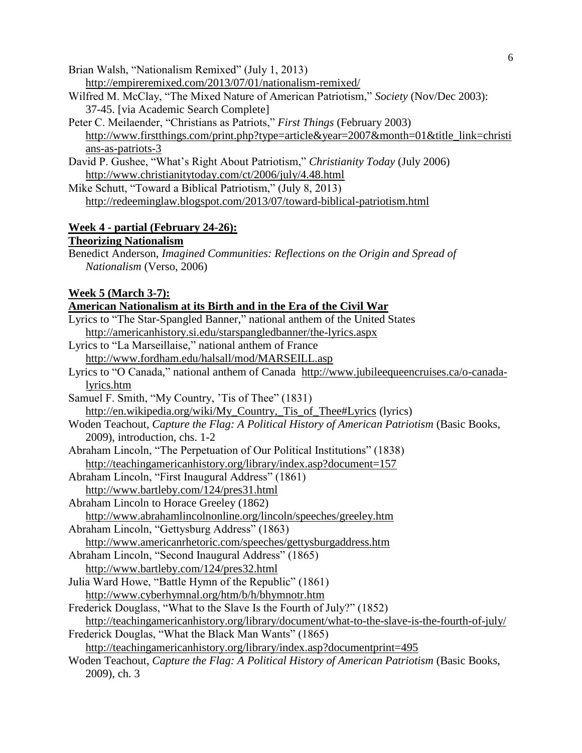Brian Walsh, "Nationalism Remixed" (July 1, 2013)

- <http://empireremixed.com/2013/07/01/nationalism-remixed/>
- Wilfred M. McClay, "The Mixed Nature of American Patriotism," *Society* (Nov/Dec 2003): 37-45. [via Academic Search Complete]
- Peter C. Meilaender, "Christians as Patriots," *First Things* (February 2003) [http://www.firstthings.com/print.php?type=article&year=2007&month=01&title\\_link=christi](http://www.firstthings.com/print.php?type=article&year=2007&month=01&title_link=christians-as-patriots-3) [ans-as-patriots-3](http://www.firstthings.com/print.php?type=article&year=2007&month=01&title_link=christians-as-patriots-3)
- David P. Gushee, "What's Right About Patriotism," *Christianity Today* (July 2006) <http://www.christianitytoday.com/ct/2006/july/4.48.html>
- Mike Schutt, "Toward a Biblical Patriotism," (July 8, 2013) <http://redeeminglaw.blogspot.com/2013/07/toward-biblical-patriotism.html>

### **Week 4 - partial (February 24-26): Theorizing Nationalism**

Benedict Anderson, *Imagined Communities: Reflections on the Origin and Spread of Nationalism* (Verso, 2006)

# **Week 5 (March 3-7):**

# **American Nationalism at its Birth and in the Era of the Civil War**

- Lyrics to "The Star-Spangled Banner," national anthem of the United States <http://americanhistory.si.edu/starspangledbanner/the-lyrics.aspx>
- Lyrics to "La Marseillaise," national anthem of France <http://www.fordham.edu/halsall/mod/MARSEILL.asp>
- Lyrics to "O Canada," national anthem of Canada [http://www.jubileequeencruises.ca/o-canada](http://www.jubileequeencruises.ca/o-canada-lyrics.htm)[lyrics.htm](http://www.jubileequeencruises.ca/o-canada-lyrics.htm)
- Samuel F. Smith, "My Country, 'Tis of Thee" (1831) [http://en.wikipedia.org/wiki/My\\_Country,\\_Tis\\_of\\_Thee#Lyrics](http://en.wikipedia.org/wiki/My_Country,_Tis_of_Thee#Lyrics) (lyrics)
- Woden Teachout, *Capture the Flag: A Political History of American Patriotism* (Basic Books, 2009), introduction, chs. 1-2
- Abraham Lincoln, "The Perpetuation of Our Political Institutions" (1838) <http://teachingamericanhistory.org/library/index.asp?document=157>
- Abraham Lincoln, "First Inaugural Address" (1861) <http://www.bartleby.com/124/pres31.html>
- Abraham Lincoln to Horace Greeley (1862) <http://www.abrahamlincolnonline.org/lincoln/speeches/greeley.htm>
- Abraham Lincoln, "Gettysburg Address" (1863)

<http://www.americanrhetoric.com/speeches/gettysburgaddress.htm> Abraham Lincoln, "Second Inaugural Address" (1865)

- <http://www.bartleby.com/124/pres32.html>
- Julia Ward Howe, "Battle Hymn of the Republic" (1861) <http://www.cyberhymnal.org/htm/b/h/bhymnotr.htm>
- Frederick Douglass, "What to the Slave Is the Fourth of July?" (1852) <http://teachingamericanhistory.org/library/document/what-to-the-slave-is-the-fourth-of-july/>
- Frederick Douglas, "What the Black Man Wants" (1865)

<http://teachingamericanhistory.org/library/index.asp?documentprint=495>

Woden Teachout, *Capture the Flag: A Political History of American Patriotism* (Basic Books, 2009), ch. 3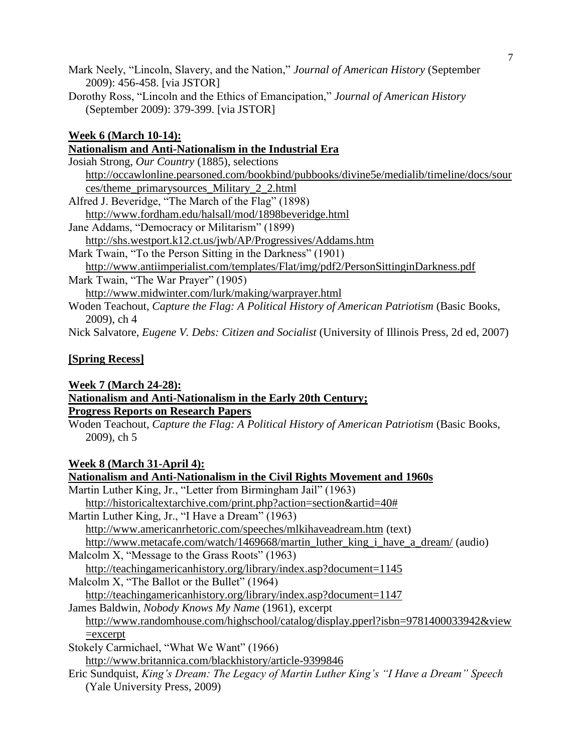Mark Neely, "Lincoln, Slavery, and the Nation," *Journal of American History* (September 2009): 456-458. [via JSTOR]

Dorothy Ross, "Lincoln and the Ethics of Emancipation," *Journal of American History* (September 2009): 379-399. [via JSTOR]

# **Week 6 (March 10-14):**

# **Nationalism and Anti-Nationalism in the Industrial Era**

| Josiah Strong, Our Country (1885), selections                                              |
|--------------------------------------------------------------------------------------------|
| http://occawlonline.pearsoned.com/bookbind/pubbooks/divine5e/medialib/timeline/docs/sour   |
| ces/theme_primarysources_Military_2_2.html                                                 |
| Alfred J. Beveridge, "The March of the Flag" (1898)                                        |
| http://www.fordham.edu/halsall/mod/1898beveridge.html                                      |
| Jane Addams, "Democracy or Militarism" (1899)                                              |
| http://shs.westport.k12.ct.us/jwb/AP/Progressives/Addams.htm                               |
| Mark Twain, "To the Person Sitting in the Darkness" (1901)                                 |
| http://www.antiimperialist.com/templates/Flat/img/pdf2/PersonSittinginDarkness.pdf         |
| Mark Twain, "The War Prayer" (1905)                                                        |
| http://www.midwinter.com/lurk/making/warprayer.html                                        |
| Woden Teachout, Capture the Flag: A Political History of American Patriotism (Basic Books, |
| $2009$ , ch 4                                                                              |

Nick Salvatore, *Eugene V. Debs: Citizen and Socialist* (University of Illinois Press, 2d ed, 2007)

# **[Spring Recess]**

### **Week 7 (March 24-28):**

# **Nationalism and Anti-Nationalism in the Early 20th Century;**

# **Progress Reports on Research Papers**

Woden Teachout, *Capture the Flag: A Political History of American Patriotism* (Basic Books, 2009), ch 5

# **Week 8 (March 31-April 4):**

| Nationalism and Anti-Nationalism in the Civil Rights Movement and 1960s                  |
|------------------------------------------------------------------------------------------|
| Martin Luther King, Jr., "Letter from Birmingham Jail" (1963)                            |
| http://historicaltextarchive.com/print.php?action=section&artid=40#                      |
| Martin Luther King, Jr., "I Have a Dream" (1963)                                         |
| http://www.americanrhetoric.com/speeches/mlkihaveadream.htm (text)                       |
| http://www.metacafe.com/watch/1469668/martin_luther_king_i_have_a_dream/ (audio)         |
| Malcolm X, "Message to the Grass Roots" (1963)                                           |
| http://teachingamericanhistory.org/library/index.asp?document=1145                       |
| Malcolm X, "The Ballot or the Bullet" (1964)                                             |
| http://teachingamericanhistory.org/library/index.asp?document=1147                       |
| James Baldwin, <i>Nobody Knows My Name</i> (1961), excerpt                               |
| http://www.randomhouse.com/highschool/catalog/display.pperl?isbn=9781400033942&view      |
| $=$ excerpt                                                                              |
| Stokely Carmichael, "What We Want" (1966)                                                |
| http://www.britannica.com/blackhistory/article-9399846                                   |
| Eric Sundquist, King's Dream: The Legacy of Martin Luther King's "I Have a Dream" Speech |
| (Yale University Press, 2009)                                                            |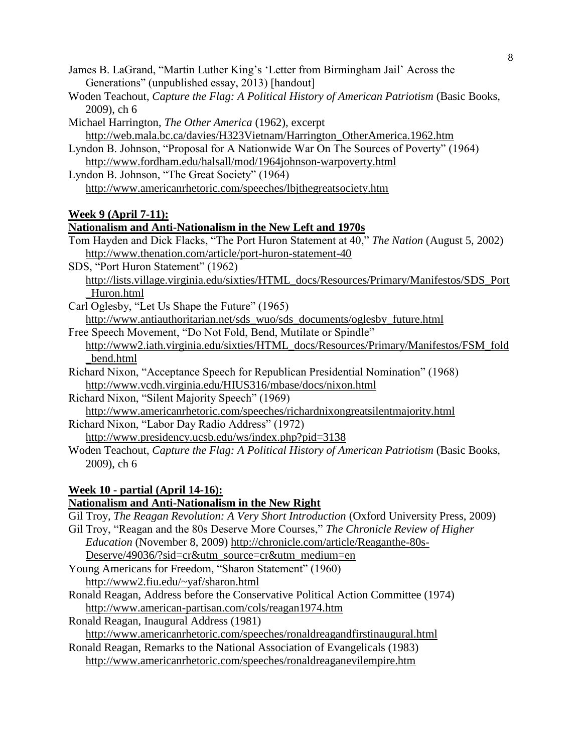- James B. LaGrand, "Martin Luther King's 'Letter from Birmingham Jail' Across the Generations" (unpublished essay, 2013) [handout]
- Woden Teachout, *Capture the Flag: A Political History of American Patriotism* (Basic Books, 2009), ch 6
- Michael Harrington, *The Other America* (1962), excerpt [http://web.mala.bc.ca/davies/H323Vietnam/Harrington\\_OtherAmerica.1962.htm](http://web.mala.bc.ca/davies/H323Vietnam/Harrington_OtherAmerica.1962.htm)
- Lyndon B. Johnson, "Proposal for A Nationwide War On The Sources of Poverty" (1964) <http://www.fordham.edu/halsall/mod/1964johnson-warpoverty.html>
- Lyndon B. Johnson, "The Great Society" (1964) <http://www.americanrhetoric.com/speeches/lbjthegreatsociety.htm>

# **Week 9 (April 7-11):**

### **Nationalism and Anti-Nationalism in the New Left and 1970s**

- Tom Hayden and Dick Flacks, "The Port Huron Statement at 40," *The Nation* (August 5, 2002) <http://www.thenation.com/article/port-huron-statement-40>
- SDS, "Port Huron Statement" (1962)
	- [http://lists.village.virginia.edu/sixties/HTML\\_docs/Resources/Primary/Manifestos/SDS\\_Port](http://lists.village.virginia.edu/sixties/HTML_docs/Resources/Primary/Manifestos/SDS_Port_Huron.html) [\\_Huron.html](http://lists.village.virginia.edu/sixties/HTML_docs/Resources/Primary/Manifestos/SDS_Port_Huron.html)
- Carl Oglesby, "Let Us Shape the Future" (1965)

[http://www.antiauthoritarian.net/sds\\_wuo/sds\\_documents/oglesby\\_future.html](http://www.antiauthoritarian.net/sds_wuo/sds_documents/oglesby_future.html)

Free Speech Movement, "Do Not Fold, Bend, Mutilate or Spindle"

[http://www2.iath.virginia.edu/sixties/HTML\\_docs/Resources/Primary/Manifestos/FSM\\_fold](http://www2.iath.virginia.edu/sixties/HTML_docs/Resources/Primary/Manifestos/FSM_fold_bend.html) [\\_bend.html](http://www2.iath.virginia.edu/sixties/HTML_docs/Resources/Primary/Manifestos/FSM_fold_bend.html)

- Richard Nixon, "Acceptance Speech for Republican Presidential Nomination" (1968) <http://www.vcdh.virginia.edu/HIUS316/mbase/docs/nixon.html>
- Richard Nixon, "Silent Majority Speech" (1969)

<http://www.americanrhetoric.com/speeches/richardnixongreatsilentmajority.html> Richard Nixon, "Labor Day Radio Address" (1972)

- <http://www.presidency.ucsb.edu/ws/index.php?pid=3138>
- Woden Teachout, *Capture the Flag: A Political History of American Patriotism* (Basic Books, 2009), ch 6

### **Week 10 - partial (April 14-16):**

## **Nationalism and Anti-Nationalism in the New Right**

Gil Troy, *The Reagan Revolution: A Very Short Introduction* (Oxford University Press, 2009)

- Gil Troy, "Reagan and the 80s Deserve More Courses," *The Chronicle Review of Higher Education* (November 8, 2009) [http://chronicle.com/article/Reaganthe-80s-](http://chronicle.com/article/Reaganthe-80s-Deserve/49036/?sid=cr&utm_source=cr&utm_medium=en)[Deserve/49036/?sid=cr&utm\\_source=cr&utm\\_medium=en](http://chronicle.com/article/Reaganthe-80s-Deserve/49036/?sid=cr&utm_source=cr&utm_medium=en)
- Young Americans for Freedom, "Sharon Statement" (1960) <http://www2.fiu.edu/~yaf/sharon.html>
- Ronald Reagan, Address before the Conservative Political Action Committee (1974) <http://www.american-partisan.com/cols/reagan1974.htm>
- Ronald Reagan, Inaugural Address (1981)

<http://www.americanrhetoric.com/speeches/ronaldreagandfirstinaugural.html>

Ronald Reagan, Remarks to the National Association of Evangelicals (1983) <http://www.americanrhetoric.com/speeches/ronaldreaganevilempire.htm>